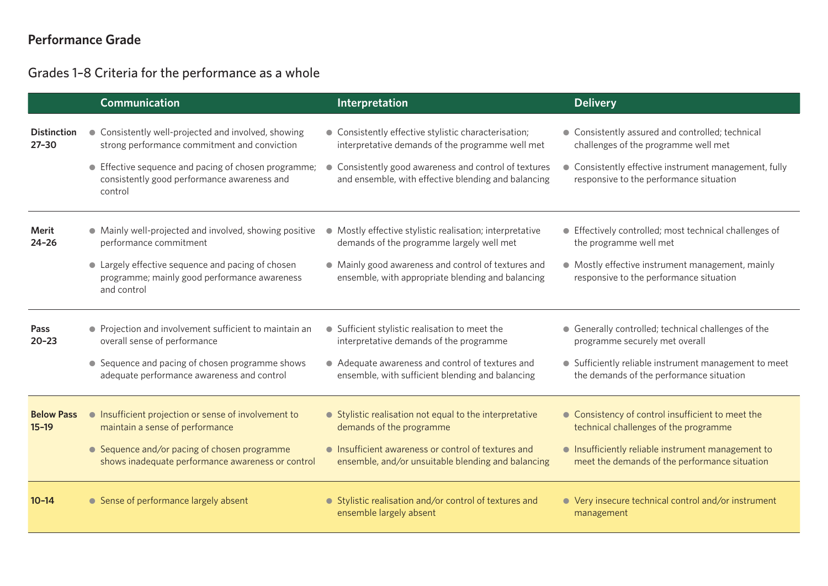# **Performance Grade**

Grades 1–8 Criteria for the performance as a whole

|                                 | <b>Communication</b>                                                                                                                                                                                       | Interpretation                                                                                                                                                                                                           | <b>Delivery</b>                                                                                                                                                                              |
|---------------------------------|------------------------------------------------------------------------------------------------------------------------------------------------------------------------------------------------------------|--------------------------------------------------------------------------------------------------------------------------------------------------------------------------------------------------------------------------|----------------------------------------------------------------------------------------------------------------------------------------------------------------------------------------------|
| <b>Distinction</b><br>$27 - 30$ | • Consistently well-projected and involved, showing<br>strong performance commitment and conviction<br>• Effective sequence and pacing of chosen programme;<br>consistently good performance awareness and | • Consistently effective stylistic characterisation;<br>interpretative demands of the programme well met<br>• Consistently good awareness and control of textures<br>and ensemble, with effective blending and balancing | • Consistently assured and controlled; technical<br>challenges of the programme well met<br>• Consistently effective instrument management, fully<br>responsive to the performance situation |
|                                 | control                                                                                                                                                                                                    |                                                                                                                                                                                                                          |                                                                                                                                                                                              |
| <b>Merit</b><br>$24 - 26$       | • Mainly well-projected and involved, showing positive<br>performance commitment                                                                                                                           | Mostly effective stylistic realisation; interpretative<br>$\bullet$<br>demands of the programme largely well met                                                                                                         | • Effectively controlled; most technical challenges of<br>the programme well met                                                                                                             |
|                                 | • Largely effective sequence and pacing of chosen<br>programme; mainly good performance awareness<br>and control                                                                                           | • Mainly good awareness and control of textures and<br>ensemble, with appropriate blending and balancing                                                                                                                 | • Mostly effective instrument management, mainly<br>responsive to the performance situation                                                                                                  |
| Pass<br>$20 - 23$               | • Projection and involvement sufficient to maintain an<br>overall sense of performance                                                                                                                     | • Sufficient stylistic realisation to meet the<br>interpretative demands of the programme                                                                                                                                | • Generally controlled; technical challenges of the<br>programme securely met overall                                                                                                        |
|                                 | • Sequence and pacing of chosen programme shows<br>adequate performance awareness and control                                                                                                              | • Adequate awareness and control of textures and<br>ensemble, with sufficient blending and balancing                                                                                                                     | • Sufficiently reliable instrument management to meet<br>the demands of the performance situation                                                                                            |
| <b>Below Pass</b><br>$15 - 19$  | • Insufficient projection or sense of involvement to<br>maintain a sense of performance                                                                                                                    | • Stylistic realisation not equal to the interpretative<br>demands of the programme                                                                                                                                      | • Consistency of control insufficient to meet the<br>technical challenges of the programme                                                                                                   |
|                                 | • Sequence and/or pacing of chosen programme<br>shows inadequate performance awareness or control                                                                                                          | • Insufficient awareness or control of textures and<br>ensemble, and/or unsuitable blending and balancing                                                                                                                | • Insufficiently reliable instrument management to<br>meet the demands of the performance situation                                                                                          |
| $10 - 14$                       | • Sense of performance largely absent                                                                                                                                                                      | • Stylistic realisation and/or control of textures and<br>ensemble largely absent                                                                                                                                        | • Very insecure technical control and/or instrument<br>management                                                                                                                            |